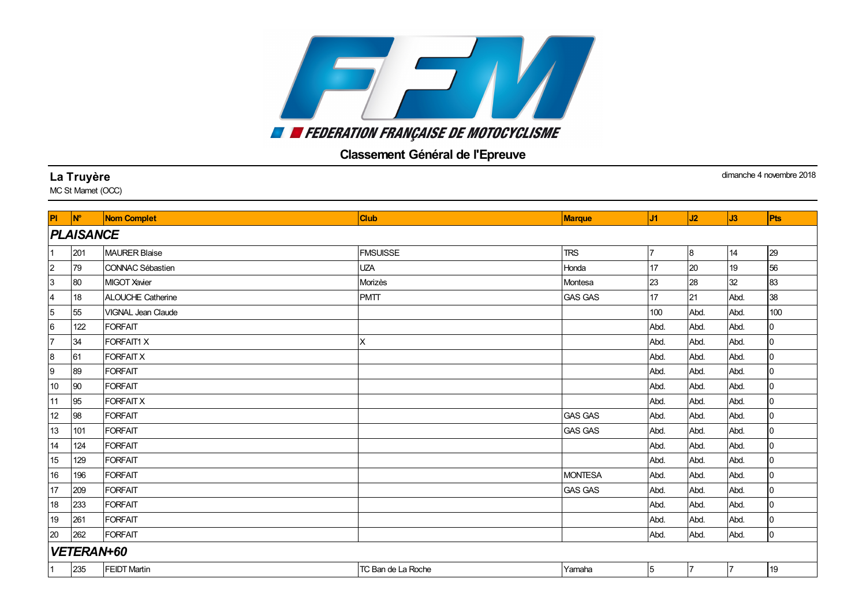## 7 F M **EN EXPERIENCIAL PRANCAISE DE MOTOCYCLISME**

## Classement Général de l'Epreuve

## **La Truyère** dimanche 4 novembre 2018 MC St Mamet (OCC) Pl <mark>N° Nom Complet Club (Club Club Marque J1 J1 J2 J3 Pts</mark> *PLAISANCE* 201 MAURER Blaise FMSUISSE TRS 7 8 14 29 79 CONNAC Sébastien UZA Honda 17 20 19 56 80 MIGOTXavier Morizès Montesa 23 28 32 83 18 ALOUCHE Catherine PMTT GAS GAS 17 21 Abd. 38 55 VIGNAL Jean Claude 100 Abd. Abd. 100 122 FORFAIT Abd. Abd. Abd. 0 34 FORFAIT1 X X Abd. Abd. Abd. 0 61 FORFAITX Abd. Abd. Abd. 0 89 FORFAIT Abd. Abd. Abd. 0 90 FORFAIT Abd. Abd. Abd. 0 95 FORFAITX Abd. Abd. Abd. 0 98 FORFAIT GAS GAS Abd. Abd. Abd. 0 101 FORFAIT GAS GAS Abd. Abd. Abd. 0 124 FORFAIT Abd. Abd. Abd. 0 129 FORFAIT Abd. Abd. Abd. 0 196 FORFAIT MONTESA Abd. Abd. Abd. 0 209 FORFAIT GAS GAS Abd. Abd. Abd. 0 233 FORFAIT Abd. Abd. Abd. 0 261 FORFAIT Abd. Abd. Abd. 0 262 FORFAIT Abd. Abd. Abd. 0 *VETERAN+60* 235 FEIDTMartin TC Ban de La Roche Yamaha 5 7 7 19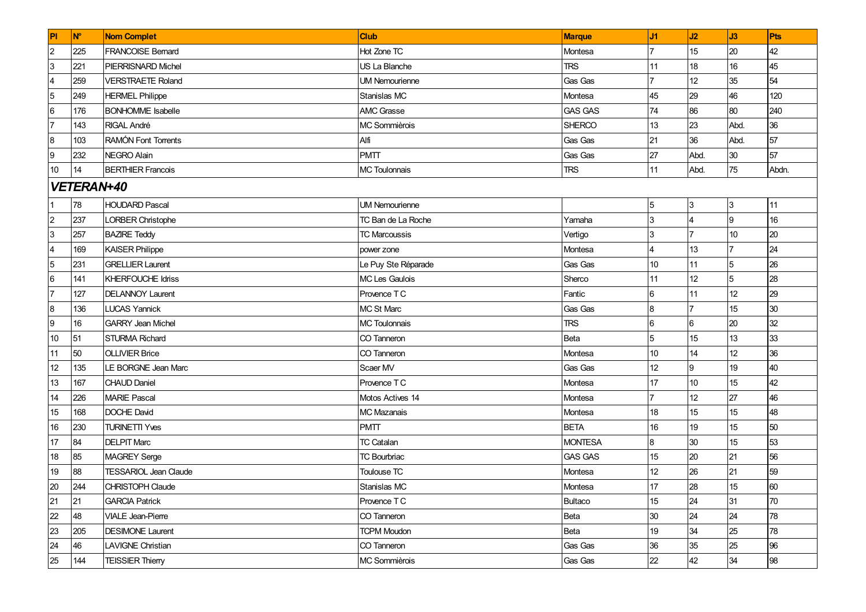| PI                      | <b>N°</b>  | <b>Nom Complet</b>           | <b>Club</b>           | <b>Marque</b>  | J1              | J2              | J3              | Pts   |  |  |  |
|-------------------------|------------|------------------------------|-----------------------|----------------|-----------------|-----------------|-----------------|-------|--|--|--|
| $\overline{2}$          | 225        | <b>FRANCOISE Bernard</b>     | Hot Zone TC           | Montesa        |                 | 15              | 20              | 42    |  |  |  |
| 3                       | 221        | PIERRISNARD Michel           | US La Blanche         | <b>TRS</b>     | 11              | 18              | 16              | 45    |  |  |  |
| $\overline{\mathbf{4}}$ | 259        | <b>VERSTRAETE Roland</b>     | <b>UM Nemourienne</b> | Gas Gas        | $\overline{7}$  | 12              | 35              | 54    |  |  |  |
| $\overline{5}$          | 249        | <b>HERMEL Philippe</b>       | Stanislas MC          | Montesa        | 45              | 29              | 46              | 120   |  |  |  |
| 6                       | 176        | <b>BONHOMME</b> Isabelle     | <b>AMC Grasse</b>     | <b>GAS GAS</b> | 74              | 86              | 80              | 240   |  |  |  |
| $\overline{7}$          | 143        | RIGAL André                  | MC Sommièrois         | <b>SHERCO</b>  | 13              | 23              | Abd.            | 36    |  |  |  |
| $\boldsymbol{8}$        | 103        | RAMÓN Font Torrents          | Alfi                  | <b>Gas Gas</b> | 21              | 36              | Abd.            | 57    |  |  |  |
| 9                       | 232        | NEGRO Alain                  | <b>PMTT</b>           | Gas Gas        | 27              | Abd.            | 30              | 57    |  |  |  |
| 10                      | 14         | <b>BERTHIER Francois</b>     | <b>MC Toulonnais</b>  | <b>TRS</b>     | 11              | Abd.            | 75              | Abdn. |  |  |  |
|                         | VETERAN+40 |                              |                       |                |                 |                 |                 |       |  |  |  |
|                         | 78         | <b>HOUDARD Pascal</b>        | <b>UM Nemourienne</b> |                | 5               | 3               | 3               | 11    |  |  |  |
| $\mathbf 2$             | 237        | LORBER Christophe            | TC Ban de La Roche    | Yamaha         | 3               |                 | <b>9</b>        | 16    |  |  |  |
| 3                       | 257        | <b>BAZIRE Teddy</b>          | <b>TC Marcoussis</b>  | Vertigo        | 3               |                 | 10              | 20    |  |  |  |
| 4                       | 169        | <b>KAISER Philippe</b>       | power zone            | Montesa        |                 | 13              |                 | 24    |  |  |  |
| $\overline{5}$          | 231        | <b>GRELLIER Laurent</b>      | Le Puy Ste Réparade   | Gas Gas        | 10 <sup>°</sup> | 11              | 5               | 26    |  |  |  |
| $6\phantom{.}6$         | 141        | <b>KHERFOUCHE Idriss</b>     | <b>MC Les Gaulois</b> | Sherco         | 11              | 12              | 5               | 28    |  |  |  |
| $\overline{7}$          | 127        | <b>DELANNOY Laurent</b>      | Provence TC           | Fantic         | 6               | 11              | 12 <sup>°</sup> | 29    |  |  |  |
| 8                       | 136        | <b>LUCAS Yannick</b>         | <b>MC St Marc</b>     | Gas Gas        | 8               |                 | 15              | 30    |  |  |  |
| 9                       | 16         | <b>GARRY Jean Michel</b>     | <b>MC Toulonnais</b>  | <b>TRS</b>     | 6               | 6               | 20              | 32    |  |  |  |
| 10                      | 51         | <b>STURMA Richard</b>        | CO Tanneron           | Beta           | 5               | 15              | 13              | 33    |  |  |  |
| 11                      | 50         | <b>OLLIVIER Brice</b>        | CO Tanneron           | Montesa        | 10              | 14              | 12              | 36    |  |  |  |
| 12                      | 135        | LE BORGNE Jean Marc          | Scaer MV              | Gas Gas        | 12              | 9               | 19              | 40    |  |  |  |
| 13                      | 167        | <b>CHAUD Daniel</b>          | Provence TC           | Montesa        | 17              | 10 <sup>1</sup> | 15              | 42    |  |  |  |
| 14                      | 226        | <b>MARIE Pascal</b>          | Motos Actives 14      | Montesa        |                 | 12              | 27              | 46    |  |  |  |
| 15                      | 168        | DOCHE David                  | <b>MC Mazanais</b>    | Montesa        | 18              | 15              | 15              | 48    |  |  |  |
| 16                      | 230        | <b>TURINETTI Yves</b>        | <b>PMTT</b>           | <b>BETA</b>    | 16              | 19              | 15              | 50    |  |  |  |
| 17                      | 84         | <b>DELPIT Marc</b>           | <b>TC Catalan</b>     | <b>MONTESA</b> | 8               | 30              | 15              | 53    |  |  |  |
| 18                      | 85         | MAGREY Serge                 | <b>TC Bourbriac</b>   | <b>GAS GAS</b> | 15              | 20              | 21              | 56    |  |  |  |
| 19                      | 88         | <b>TESSARIOL Jean Claude</b> | Toulouse TC           | Montesa        | 12              | 26              | 21              | 59    |  |  |  |
| 20                      | 244        | CHRISTOPH Claude             | Stanislas MC          | Montesa        | 17              | 28              | 15              | 60    |  |  |  |
| 21                      | 21         | <b>GARCIA Patrick</b>        | Provence TC           | Bultaco        | 15              | 24              | 31              | 70    |  |  |  |
| 22                      | 48         | <b>VIALE Jean-Pierre</b>     | CO Tanneron           | Beta           | 30              | 24              | 24              | 78    |  |  |  |
| 23                      | 205        | <b>DESIMONE Laurent</b>      | <b>TCPM Moudon</b>    | Beta           | 19              | 34              | 25              | 78    |  |  |  |
| 24                      | 46         | <b>LAVIGNE Christian</b>     | CO Tanneron           | Gas Gas        | 36              | 35              | 25              | 96    |  |  |  |
| 25                      | 144        | <b>TEISSIER Thierry</b>      | MC Sommièrois         | Gas Gas        | 22              | 42              | 34              | 98    |  |  |  |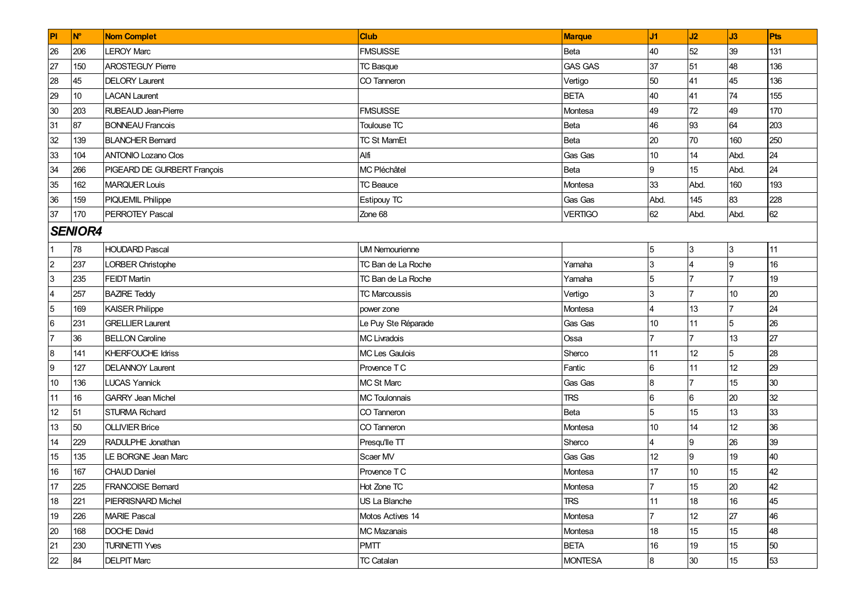| PI             | <b>N°</b>      | <b>Nom Complet</b>          | <b>Club</b>           | <b>Marque</b>  | J1             | J2                | J3             | Pts |  |  |  |
|----------------|----------------|-----------------------------|-----------------------|----------------|----------------|-------------------|----------------|-----|--|--|--|
| 26             | 206            | <b>LEROY Marc</b>           | <b>FMSUISSE</b>       | Beta           | 40             | 52                | 39             | 131 |  |  |  |
| 27             | 150            | <b>AROSTEGUY Pierre</b>     | <b>TC Basque</b>      | <b>GAS GAS</b> | 37             | 51                | 48             | 136 |  |  |  |
| 28             | 45             | <b>DELORY Laurent</b>       | CO Tanneron           | Vertigo        | 50             | 41                | 45             | 136 |  |  |  |
| 29             | 10             | <b>LACAN Laurent</b>        |                       | <b>BETA</b>    | 40             | 41                | 74             | 155 |  |  |  |
| 30             | 203            | <b>RUBEAUD Jean-Pierre</b>  | <b>FMSUISSE</b>       | Montesa        | 49             | 72                | 49             | 170 |  |  |  |
| 31             | 87             | <b>BONNEAU Francois</b>     | Toulouse TC           | Beta           | 46             | 93                | 64             | 203 |  |  |  |
| 32             | 139            | <b>BLANCHER Bernard</b>     | <b>TC St MamEt</b>    | Beta           | 20             | 70                | 160            | 250 |  |  |  |
| 33             | 104            | <b>ANTONIO Lozano Clos</b>  | Alfi                  | Gas Gas        | 10             | 14                | Abd.           | 24  |  |  |  |
| 34             | 266            | PIGEARD DE GURBERT François | MC Pléchâtel          | Beta           | 9              | 15                | Abd.           | 24  |  |  |  |
| 35             | 162            | <b>MARQUER Louis</b>        | <b>TC Beauce</b>      | Montesa        | 33             | Abd.              | 160            | 193 |  |  |  |
| 36             | 159            | PIQUEMIL Philippe           | <b>Estipouy TC</b>    | Gas Gas        | Abd.           | 145               | 83             | 228 |  |  |  |
| 37             | 170            | <b>PERROTEY Pascal</b>      | Zone 68               | <b>VERTIGO</b> | 62             | Abd.              | Abd.           | 62  |  |  |  |
|                | <b>SENIOR4</b> |                             |                       |                |                |                   |                |     |  |  |  |
|                | 78             | <b>HOUDARD Pascal</b>       | <b>UM Nemourienne</b> |                | $\sqrt{5}$     | 3                 | 3              | 11  |  |  |  |
| $\overline{2}$ | 237            | LORBER Christophe           | TC Ban de La Roche    | Yamaha         | 3              |                   | 9              | 16  |  |  |  |
| 3              | 235            | <b>FEIDT Martin</b>         | TC Ban de La Roche    | Yamaha         | 5              |                   | $\overline{7}$ | 19  |  |  |  |
| 4              | 257            | <b>BAZIRE Teddy</b>         | <b>TC Marcoussis</b>  | Vertigo        | 3              |                   | 10             | 20  |  |  |  |
| $\overline{5}$ | 169            | <b>KAISER Philippe</b>      | power zone            | Montesa        | $\overline{4}$ | 13                |                | 24  |  |  |  |
| 6              | 231            | <b>GRELLIER Laurent</b>     | Le Puy Ste Réparade   | Gas Gas        | 10             | 11                | 5              | 26  |  |  |  |
| $\overline{7}$ | 36             | <b>BELLON Caroline</b>      | <b>MC Livradois</b>   | Ossa           | 17             | $\overline{7}$    | 13             | 27  |  |  |  |
| 8              | 141            | <b>KHERFOUCHE Idriss</b>    | MC Les Gaulois        | Sherco         | 11             | $12 \overline{ }$ | 5              | 28  |  |  |  |
| 9              | 127            | <b>DELANNOY Laurent</b>     | Provence TC           | Fantic         | 6              | 11                | 12             | 29  |  |  |  |
| 10             | 136            | <b>LUCAS Yannick</b>        | MC St Marc            | Gas Gas        | 8              |                   | 15             | 30  |  |  |  |
| 11             | 16             | <b>GARRY Jean Michel</b>    | <b>MC Toulonnais</b>  | <b>TRS</b>     | 6              | 6                 | 20             | 32  |  |  |  |
| 12             | 51             | <b>STURMA Richard</b>       | CO Tanneron           | Beta           | 5              | 15                | 13             | 33  |  |  |  |
| 13             | 50             | <b>OLLIVIER Brice</b>       | CO Tanneron           | Montesa        | 10             | 14                | 12             | 36  |  |  |  |
| 14             | 229            | RADULPHE Jonathan           | Presqu'lle TT         | Sherco         | $\overline{4}$ | 9                 | 26             | 39  |  |  |  |
| 15             | 135            | LE BORGNE Jean Marc         | Scaer MV              | Gas Gas        | 12             | 9                 | 19             | 40  |  |  |  |
| 16             | 167            | <b>CHAUD Daniel</b>         | Provence TC           | Montesa        | 17             | 10                | 15             | 42  |  |  |  |
| 17             | 225            | FRANCOISE Bernard           | Hot Zone TC           | Montesa        | 17             | 15                | 20             | 42  |  |  |  |
| 18             | 221            | PIERRISNARD Michel          | US La Blanche         | <b>TRS</b>     | 11             | 18                | 16             | 45  |  |  |  |
| 19             | 226            | <b>MARIE Pascal</b>         | Motos Actives 14      | Montesa        |                | 12                | 27             | 46  |  |  |  |
| 20             | 168            | DOCHE David                 | <b>MC Mazanais</b>    | Montesa        | 18             | 15                | 15             | 48  |  |  |  |
| 21             | 230            | <b>TURINETTI Yves</b>       | <b>PMTT</b>           | <b>BETA</b>    | 16             | 19                | 15             | 50  |  |  |  |
| 22             | 84             | <b>DELPIT Marc</b>          | <b>TC Catalan</b>     | <b>MONTESA</b> | 8              | 30                | 15             | 53  |  |  |  |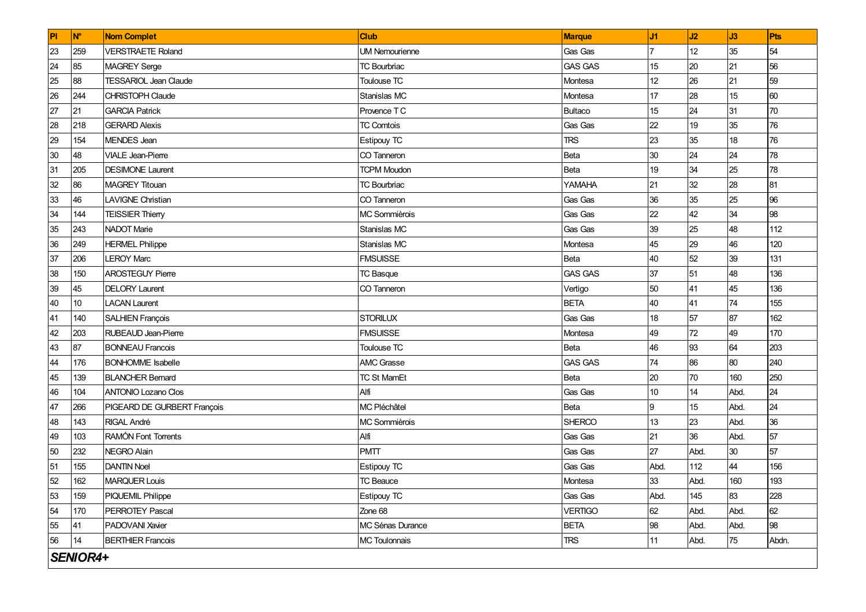| P  | <b>N°</b> | <b>Nom Complet</b>           | Club                  | <b>Marque</b>  | J <sub>1</sub>  | J2   | J3   | Pts   |
|----|-----------|------------------------------|-----------------------|----------------|-----------------|------|------|-------|
| 23 | 259       | <b>VERSTRAETE Roland</b>     | <b>UM Nemourienne</b> | Gas Gas        |                 | 12   | 35   | 54    |
| 24 | 85        | <b>MAGREY</b> Serge          | <b>TC Bourbriac</b>   | <b>GAS GAS</b> | 15              | 20   | 21   | 56    |
| 25 | 88        | <b>TESSARIOL Jean Claude</b> | Toulouse TC           | Montesa        | 12 <sup>2</sup> | 26   | 21   | 59    |
| 26 | 244       | <b>CHRISTOPH Claude</b>      | Stanislas MC          | Montesa        | 17              | 28   | 15   | 60    |
| 27 | 21        | <b>GARCIA Patrick</b>        | Provence TC           | <b>Bultaco</b> | 15              | 24   | 31   | 70    |
| 28 | 218       | <b>GERARD Alexis</b>         | <b>TC Comtois</b>     | Gas Gas        | 22              | 19   | 35   | 76    |
| 29 | 154       | <b>MENDES</b> Jean           | Estipouy TC           | <b>TRS</b>     | 23              | 35   | 18   | 76    |
| 30 | 48        | <b>VIALE</b> Jean-Pierre     | CO Tanneron           | Beta           | 30              | 24   | 24   | 78    |
| 31 | 205       | <b>DESIMONE Laurent</b>      | <b>TCPM Moudon</b>    | <b>Beta</b>    | 19              | 34   | 25   | 78    |
| 32 | 86        | <b>MAGREY Titouan</b>        | <b>TC Bourbriac</b>   | YAMAHA         | 21              | 32   | 28   | 81    |
| 33 | 46        | <b>LAVIGNE Christian</b>     | CO Tanneron           | Gas Gas        | 36              | 35   | 25   | 96    |
| 34 | 144       | <b>TEISSIER Thierry</b>      | MC Sommièrois         | Gas Gas        | 22              | 42   | 34   | 98    |
| 35 | 243       | NADOT Marie                  | Stanislas MC          | Gas Gas        | 39              | 25   | 48   | 112   |
| 36 | 249       | <b>HERMEL Philippe</b>       | Stanislas MC          | Montesa        | 45              | 29   | 46   | 120   |
| 37 | 206       | <b>LEROY Marc</b>            | <b>FMSUISSE</b>       | <b>Beta</b>    | 40              | 52   | 39   | 131   |
| 38 | 150       | <b>AROSTEGUY Pierre</b>      | <b>TC Basque</b>      | <b>GAS GAS</b> | 37              | 51   | 48   | 136   |
| 39 | 45        | <b>DELORY Laurent</b>        | CO Tanneron           | Vertigo        | 50              | 41   | 45   | 136   |
| 40 | 10        | <b>LACAN Laurent</b>         |                       | <b>BETA</b>    | 40              | 41   | 74   | 155   |
| 41 | 140       | <b>SALHIEN François</b>      | <b>STORILUX</b>       | Gas Gas        | 18              | 57   | 87   | 162   |
| 42 | 203       | RUBEAUD Jean-Pierre          | <b>FMSUISSE</b>       | Montesa        | 49              | 72   | 49   | 170   |
| 43 | 87        | <b>BONNEAU Francois</b>      | Toulouse TC           | Beta           | 46              | 93   | 64   | 203   |
| 44 | 176       | <b>BONHOMME</b> Isabelle     | AMC Grasse            | <b>GAS GAS</b> | 74              | 86   | 80   | 240   |
| 45 | 139       | <b>BLANCHER Bernard</b>      | <b>TC St MamEt</b>    | Beta           | 20              | 70   | 160  | 250   |
| 46 | 104       | <b>ANTONIO Lozano Clos</b>   | Alfi                  | Gas Gas        | 10              | 14   | Abd. | 24    |
| 47 | 266       | PIGEARD DE GURBERT François  | MC Pléchâtel          | Beta           | 9               | 15   | Abd. | 24    |
| 48 | 143       | <b>RIGAL André</b>           | MC Sommièrois         | <b>SHERCO</b>  | 13              | 23   | Abd. | 36    |
| 49 | 103       | RAMÓN Font Torrents          | Alfi                  | Gas Gas        | 21              | 36   | Abd. | 57    |
| 50 | 232       | NEGRO Alain                  | <b>PMTT</b>           | Gas Gas        | 27              | Abd. | 30   | 57    |
| 51 | 155       | <b>DANTIN Noel</b>           | Estipouy TC           | Gas Gas        | Abd.            | 112  | 44   | 156   |
| 52 | 162       | <b>MARQUER Louis</b>         | <b>TC Beauce</b>      | Montesa        | 33              | Abd. | 160  | 193   |
| 53 | 159       | PIQUEMIL Philippe            | <b>Estipouy TC</b>    | Gas Gas        | Abd.            | 145  | 83   | 228   |
| 54 | 170       | PERROTEY Pascal              | Zone 68               | <b>VERTIGO</b> | 62              | Abd. | Abd. | 62    |
| 55 | 41        | PADOVANI Xavier              | MC Sénas Durance      | <b>BETA</b>    | 98              | Abd. | Abd. | 98    |
| 56 | 14        | <b>BERTHIER Francois</b>     | <b>MC Toulonnais</b>  | <b>TRS</b>     | 11              | Abd. | 75   | Abdn. |
|    | SENIOR4+  |                              |                       |                |                 |      |      |       |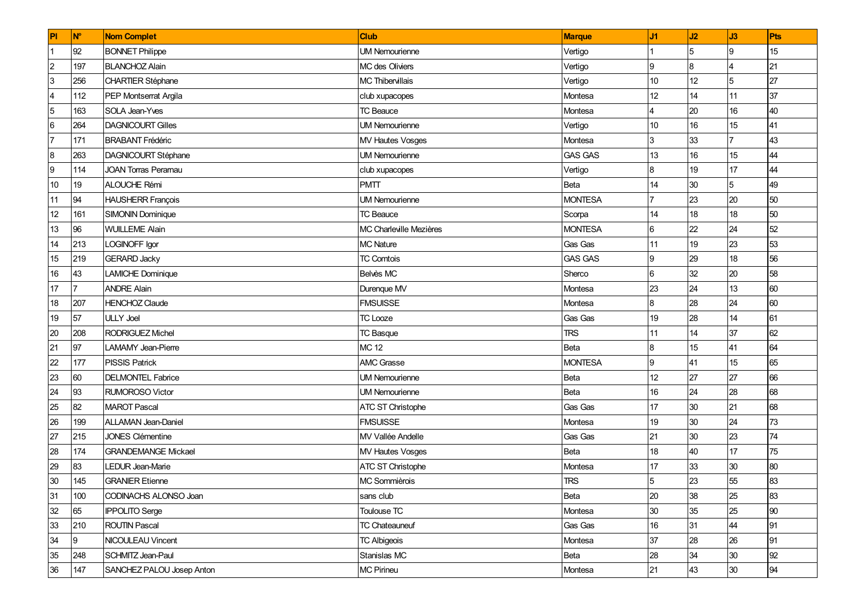| PI                      | N°  | <b>Nom Complet</b>         | <b>Club</b>             | <b>Marque</b>  | J1             | J2              | J3              | Pts |
|-------------------------|-----|----------------------------|-------------------------|----------------|----------------|-----------------|-----------------|-----|
| $\overline{1}$          | 92  | <b>BONNET Philippe</b>     | <b>UM Nemourienne</b>   | Vertigo        |                | 5               | <b>9</b>        | 15  |
| $\overline{2}$          | 197 | <b>BLANCHOZ Alain</b>      | MC des Oliviers         | Vertigo        | 9              | 8               |                 | 21  |
| $\overline{3}$          | 256 | <b>CHARTIER Stéphane</b>   | <b>MC Thibervillais</b> | Vertigo        | 10             | 12 <sup>°</sup> | 5               | 27  |
| $\overline{\mathbf{4}}$ | 112 | PEP Montserrat Argila      | club xupacopes          | Montesa        | 12             | 14              | 11              | 37  |
| $\overline{5}$          | 163 | SOLA Jean-Yves             | <b>TC Beauce</b>        | Montesa        | $\overline{4}$ | 20              | 16              | 40  |
| $\,6$                   | 264 | <b>DAGNICOURT Gilles</b>   | <b>UM Nemourienne</b>   | Vertigo        | 10             | 16              | 15              | 41  |
| 7                       | 171 | <b>BRABANT Frédéric</b>    | <b>MV Hautes Vosges</b> | Montesa        | 3              | 33              |                 | 43  |
| $\bf{8}$                | 263 | <b>DAGNICOURT Stéphane</b> | <b>UM Nemourienne</b>   | <b>GAS GAS</b> | 13             | 16              | 15              | 44  |
| $\overline{9}$          | 114 | <b>JOAN Torras Peramau</b> | club xupacopes          | Vertigo        | 8              | 19              | 17              | 44  |
| $10$                    | 19  | ALOUCHE Rémi               | <b>PMTT</b>             | Beta           | 14             | 30              | 5               | 49  |
| 11                      | 94  | <b>HAUSHERR François</b>   | <b>UM Nemourienne</b>   | <b>MONTESA</b> |                | 23              | 20              | 50  |
| 12                      | 161 | <b>SIMONIN Dominique</b>   | <b>TC Beauce</b>        | Scorpa         | 14             | 18              | 18              | 50  |
| 13                      | 96  | <b>WUILLEME Alain</b>      | MC Charleville Mezières | <b>MONTESA</b> | 6              | 22              | 24              | 52  |
| 14                      | 213 | LOGINOFF Igor              | <b>MC Nature</b>        | Gas Gas        | 11             | 19              | 23              | 53  |
| 15                      | 219 | <b>GERARD Jacky</b>        | <b>TC Comtois</b>       | <b>GAS GAS</b> | 9              | 29              | 18              | 56  |
| $16\,$                  | 43  | <b>LAMICHE Dominique</b>   | Belvès MC               | Sherco         | 6              | 32              | 20              | 58  |
| 17                      |     | <b>ANDRE Alain</b>         | Durenque MV             | Montesa        | 23             | 24              | 13              | 60  |
| 18                      | 207 | <b>HENCHOZ Claude</b>      | <b>FMSUISSE</b>         | Montesa        | 8              | 28              | 24              | 60  |
| 19                      | 57  | <b>ULLY Joel</b>           | <b>TC Looze</b>         | Gas Gas        | 19             | 28              | 14              | 61  |
| 20                      | 208 | <b>RODRIGUEZ Michel</b>    | <b>TC Basque</b>        | <b>TRS</b>     | 11             | 14              | 37              | 62  |
| 21                      | 97  | LAMAMY Jean-Pierre         | <b>MC 12</b>            | Beta           | $\bf{8}$       | 15              | 41              | 64  |
| 22                      | 177 | <b>PISSIS Patrick</b>      | <b>AMC Grasse</b>       | <b>MONTESA</b> | 9              | 41              | 15              | 65  |
| 23                      | 60  | <b>DELMONTEL Fabrice</b>   | <b>UM Nemourienne</b>   | Beta           | 12             | 27              | 27              | 66  |
| 24                      | 93  | <b>RUMOROSO Victor</b>     | <b>UM Nemourienne</b>   | Beta           | 16             | 24              | 28              | 68  |
| 25                      | 82  | <b>MAROT Pascal</b>        | ATC ST Christophe       | Gas Gas        | 17             | 30              | 21              | 68  |
| 26                      | 199 | <b>ALLAMAN Jean-Daniel</b> | <b>FMSUISSE</b>         | Montesa        | 19             | 30              | 24              | 73  |
| 27                      | 215 | <b>JONES Clémentine</b>    | MV Vallée Andelle       | Gas Gas        | 21             | 30              | 23              | 74  |
| 28                      | 174 | <b>GRANDEMANGE Mickael</b> | <b>MV Hautes Vosges</b> | Beta           | 18             | 40              | 17              | 75  |
| 29                      | 83  | LEDUR Jean-Marie           | ATC ST Christophe       | Montesa        | 17             | 33              | 30              | 80  |
| 30                      | 145 | <b>GRANIER Etienne</b>     | MC Sommièrois           | TRS            | 5              | 23              | 55              | 83  |
| 31                      | 100 | CODINACHS ALONSO Joan      | sans club               | Beta           | 20             | 38              | 25              | 83  |
| 32                      | 65  | <b>IPPOLITO Serge</b>      | Toulouse TC             | Montesa        | 30             | 35              | 25              | 90  |
| 33                      | 210 | <b>ROUTIN Pascal</b>       | <b>TC Chateauneuf</b>   | Gas Gas        | 16             | 31              | 44              | 91  |
| 34                      | 9   | NICOULEAU Vincent          | <b>TC Albigeois</b>     | Montesa        | 37             | 28              | 26              | 91  |
| 35                      | 248 | SCHMITZ Jean-Paul          | Stanislas MC            | Beta           | 28             | 34              | 30              | 92  |
| 36                      | 147 | SANCHEZ PALOU Josep Anton  | <b>MC Pirineu</b>       | Montesa        | 21             | 43              | 30 <sub>o</sub> | 94  |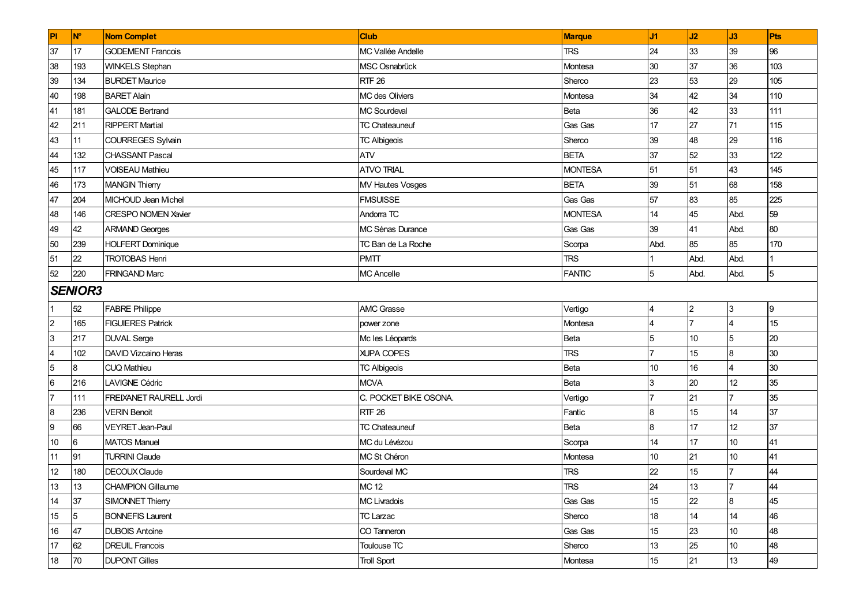| P               | <b>N°</b>      | <b>Nom Complet</b>          | <b>Club</b>              | <b>Marque</b>  | J <sub>1</sub>   | J2             | J3             | Pts |
|-----------------|----------------|-----------------------------|--------------------------|----------------|------------------|----------------|----------------|-----|
| 37              | 17             | <b>GODEMENT Francois</b>    | <b>MC Vallée Andelle</b> | <b>TRS</b>     | 24               | 33             | 39             | 96  |
| 38              | 193            | <b>WINKELS Stephan</b>      | MSC Osnabrück            | Montesa        | 30               | 37             | 36             | 103 |
| 39              | 134            | <b>BURDET Maurice</b>       | <b>RTF 26</b>            | Sherco         | 23               | 53             | 29             | 105 |
| 40              | 198            | <b>BARET Alain</b>          | MC des Oliviers          | Montesa        | 34               | 42             | 34             | 110 |
| 41              | 181            | <b>GALODE Bertrand</b>      | <b>MC Sourdeval</b>      | Beta           | 36               | 42             | 33             | 111 |
| 42              | 211            | <b>RIPPERT Martial</b>      | <b>TC Chateauneuf</b>    | Gas Gas        | 17               | 27             | 71             | 115 |
| 43              | 11             | <b>COURREGES Sylvain</b>    | <b>TC Albigeois</b>      | Sherco         | 39               | 48             | 29             | 116 |
| 44              | 132            | <b>CHASSANT Pascal</b>      | <b>ATV</b>               | <b>BETA</b>    | 37               | 52             | 33             | 122 |
| 45              | 117            | <b>VOISEAU Mathieu</b>      | <b>ATVO TRIAL</b>        | <b>MONTESA</b> | 51               | 51             | 43             | 145 |
| 46              | 173            | <b>MANGIN Thierry</b>       | MV Hautes Vosges         | <b>BETA</b>    | 39               | 51             | 68             | 158 |
| 47              | 204            | MICHOUD Jean Michel         | <b>FMSUISSE</b>          | Gas Gas        | 57               | 83             | 85             | 225 |
| 48              | 146            | <b>CRESPO NOMEN Xavier</b>  | Andorra TC               | <b>MONTESA</b> | 14               | 45             | Abd.           | 59  |
| 49              | 42             | <b>ARMAND Georges</b>       | MC Sénas Durance         | Gas Gas        | 39               | 41             | Abd.           | 80  |
| 50              | 239            | <b>HOLFERT Dominique</b>    | TC Ban de La Roche       | Scorpa         | Abd.             | 85             | 85             | 170 |
| 51              | 22             | <b>TROTOBAS Henri</b>       | <b>PMTT</b>              | <b>TRS</b>     |                  | Abd.           | Abd.           |     |
| 52              | 220            | <b>FRINGAND Marc</b>        | <b>MC Ancelle</b>        | <b>FANTIC</b>  | 5                | Abd.           | Abd.           | 5   |
|                 | <b>SENIOR3</b> |                             |                          |                |                  |                |                |     |
|                 | 52             | <b>FABRE Philippe</b>       | <b>AMC Grasse</b>        | Vertigo        | 14               | $\overline{2}$ | 3              | 19  |
| $\mathbf 2$     | 165            | <b>FIGUIERES Patrick</b>    | power zone               | Montesa        | $\overline{4}$   | $\overline{7}$ | $\overline{4}$ | 15  |
| 3               | 217            | <b>DUVAL Serge</b>          | Mc les Léopards          | Beta           | 5                | 10             | 5              | 20  |
| 4               | 102            | <b>DAVID Vizcaino Heras</b> | <b>XUPA COPES</b>        | <b>TRS</b>     | 17               | 15             | 8              | 30  |
| $5\overline{5}$ | 8              | <b>CUQ Mathieu</b>          | <b>TC Albigeois</b>      | Beta           | 10               | 16             | 4              | 30  |
| 6               | 216            | <b>LAVIGNE Cédric</b>       | <b>MCVA</b>              | Beta           | l3               | 20             | 12             | 35  |
| $\overline{7}$  | 111            | FREIXANET RAURELL Jordi     | C. POCKET BIKE OSONA.    | Vertigo        | 17               | 21             | $\overline{7}$ | 35  |
| 8               | 236            | <b>VERIN Benoit</b>         | <b>RTF 26</b>            | Fantic         | $\boldsymbol{8}$ | 15             | 14             | 37  |
| 9               | 66             | <b>VEYRET Jean-Paul</b>     | <b>TC Chateauneuf</b>    | Beta           | 8                | 17             | 12             | 37  |
| 10              | 6              | <b>MATOS Manuel</b>         | MC du Lévézou            | Scorpa         | 14               | 17             | 10             | 41  |
| 11              | 91             | <b>TURRINI Claude</b>       | MC St Chéron             | Montesa        | 10               | 21             | 10             | 41  |
| 12              | 180            | <b>DECOUX Claude</b>        | Sourdeval MC             | <b>TRS</b>     | 22               | 15             |                | 44  |
| 13              | 13             | <b>CHAMPION Gillaume</b>    | <b>MC 12</b>             | <b>TRS</b>     | 24               | 13             | $\overline{7}$ | 44  |
| 14              | 37             | SIMONNET Thierry            | <b>MC Livradois</b>      | Gas Gas        | 15               | 22             | 8              | 45  |
| 15              | 5              | <b>BONNEFIS Laurent</b>     | <b>TC Larzac</b>         | Sherco         | 18               | 14             | 14             | 46  |
| 16              | 47             | <b>DUBOIS Antoine</b>       | CO Tanneron              | Gas Gas        | 15               | 23             | 10             | 48  |
| 17              | 62             | <b>DREUIL Francois</b>      | Toulouse TC              | Sherco         | 13               | 25             | 10             | 48  |
| 18              | 70             | <b>DUPONT Gilles</b>        | <b>Troll Sport</b>       | Montesa        | 15               | 21             | 13             | 49  |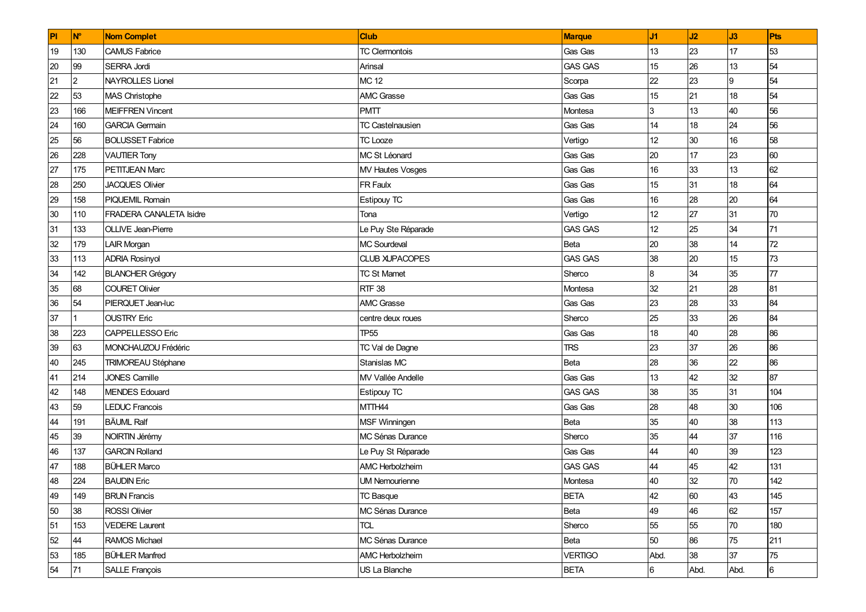| PI              | N°             | <b>Nom Complet</b>        | <b>Club</b>             | <b>Marque</b>  | J1   | J2   | J3   | Pts             |
|-----------------|----------------|---------------------------|-------------------------|----------------|------|------|------|-----------------|
| 19              | 130            | <b>CAMUS Fabrice</b>      | <b>TC Clermontois</b>   | Gas Gas        | 13   | 23   | 17   | 53              |
| 20              | 99             | SERRA Jordi               | Arinsal                 | <b>GAS GAS</b> | 15   | 26   | 13   | 54              |
| 21              | $\overline{2}$ | <b>NAYROLLES Lionel</b>   | <b>MC 12</b>            | Scorpa         | 22   | 23   | 9    | 54              |
| $\overline{22}$ | 53             | MAS Christophe            | <b>AMC Grasse</b>       | Gas Gas        | 15   | 21   | 18   | 54              |
| 23              | 166            | <b>MEIFFREN Vincent</b>   | <b>PMTT</b>             | Montesa        | 3    | 13   | 40   | 56              |
| 24              | 160            | <b>GARCIA Germain</b>     | <b>TC Castelnausien</b> | Gas Gas        | 14   | 18   | 24   | 56              |
| 25              | 56             | <b>BOLUSSET Fabrice</b>   | <b>TC</b> Looze         | Vertigo        | 12   | 30   | 16   | 58              |
| 26              | 228            | <b>VAUTIER Tony</b>       | MC St Léonard           | Gas Gas        | 20   | 17   | 23   | 60              |
| 27              | 175            | PETITJEAN Marc            | <b>MV Hautes Vosges</b> | Gas Gas        | 16   | 33   | 13   | 62              |
| 28              | 250            | <b>JACQUES Olivier</b>    | FR Faulx                | Gas Gas        | 15   | 31   | 18   | 64              |
| 29              | 158            | <b>PIQUEMIL Romain</b>    | Estipouy TC             | Gas Gas        | 16   | 28   | 20   | 64              |
| 30              | 110            | FRADERA CANALETA Isidre   | Tona                    | Vertigo        | 12   | 27   | 31   | 70              |
| 31              | 133            | OLLIVE Jean-Pierre        | Le Puy Ste Réparade     | <b>GAS GAS</b> | 12   | 25   | 34   | 71              |
| 32              | 179            | <b>LAIR Morgan</b>        | <b>MC Sourdeval</b>     | Beta           | 20   | 38   | 14   | 72              |
| 33              | 113            | <b>ADRIA Rosinyol</b>     | <b>CLUB XUPACOPES</b>   | <b>GAS GAS</b> | 38   | 20   | 15   | 73              |
| 34              | 142            | <b>BLANCHER Grégory</b>   | <b>TC St Mamet</b>      | Sherco         | 8    | 34   | 35   | 77              |
| 35              | 68             | <b>COURET Olivier</b>     | <b>RTF 38</b>           | Montesa        | 32   | 21   | 28   | 81              |
| 36              | 54             | PIERQUET Jean-luc         | <b>AMC Grasse</b>       | Gas Gas        | 23   | 28   | 33   | 84              |
| 37              |                | <b>OUSTRY Eric</b>        | centre deux roues       | Sherco         | 25   | 33   | 26   | 84              |
| 38              | 223            | <b>CAPPELLESSO Eric</b>   | TP55                    | Gas Gas        | 18   | 40   | 28   | 86              |
| 39              | 63             | MONCHAUZOU Frédéric       | TC Val de Dagne         | <b>TRS</b>     | 23   | 37   | 26   | 86              |
| 40              | 245            | <b>TRIMOREAU Stéphane</b> | Stanislas MC            | Beta           | 28   | 36   | 22   | 86              |
| 41              | 214            | <b>JONES Camille</b>      | MV Vallée Andelle       | Gas Gas        | 13   | 42   | 32   | 87              |
| 42              | 148            | <b>MENDES Edouard</b>     | Estipouy TC             | <b>GAS GAS</b> | 38   | 35   | 31   | 104             |
| 43              | 59             | <b>LEDUC Francois</b>     | MTTH44                  | Gas Gas        | 28   | 48   | 30   | 106             |
| 44              | 191            | <b>BÄUML Ralf</b>         | <b>MSF Winningen</b>    | <b>Beta</b>    | 35   | 40   | 38   | 113             |
| 45              | 39             | NOIRTIN Jérémy            | <b>MC Sénas Durance</b> | Sherco         | 35   | 44   | 37   | 116             |
| 46              | 137            | <b>GARCIN Rolland</b>     | Le Puy St Réparade      | Gas Gas        | 44   | 40   | 39   | 123             |
| 47              | 188            | <b>BÜHLER Marco</b>       | AMC Herbolzheim         | <b>GAS GAS</b> | 44   | 45   | 42   | 131             |
| 48              | 224            | <b>BAUDIN Eric</b>        | <b>UM Nemourienne</b>   | Montesa        | 40   | 32   | 70   | 142             |
| 49              | 149            | <b>BRUN Francis</b>       | <b>TC Basque</b>        | <b>BETA</b>    | 42   | 60   | 43   | 145             |
| 50              | 38             | <b>ROSSI Olivier</b>      | MC Sénas Durance        | Beta           | 49   | 46   | 62   | 157             |
| 51              | 153            | <b>VEDERE Laurent</b>     | TCL                     | Sherco         | 55   | 55   | 70   | 180             |
| 52              | 44             | <b>RAMOS Michael</b>      | MC Sénas Durance        | Beta           | 50   | 86   | 75   | 211             |
| 53              | 185            | <b>BÜHLER Manfred</b>     | <b>AMC Herbolzheim</b>  | <b>VERTIGO</b> | Abd. | 38   | 37   | 75              |
| 54              | 71             | SALLE François            | US La Blanche           | <b>BETA</b>    | 6    | Abd. | Abd. | $6\overline{6}$ |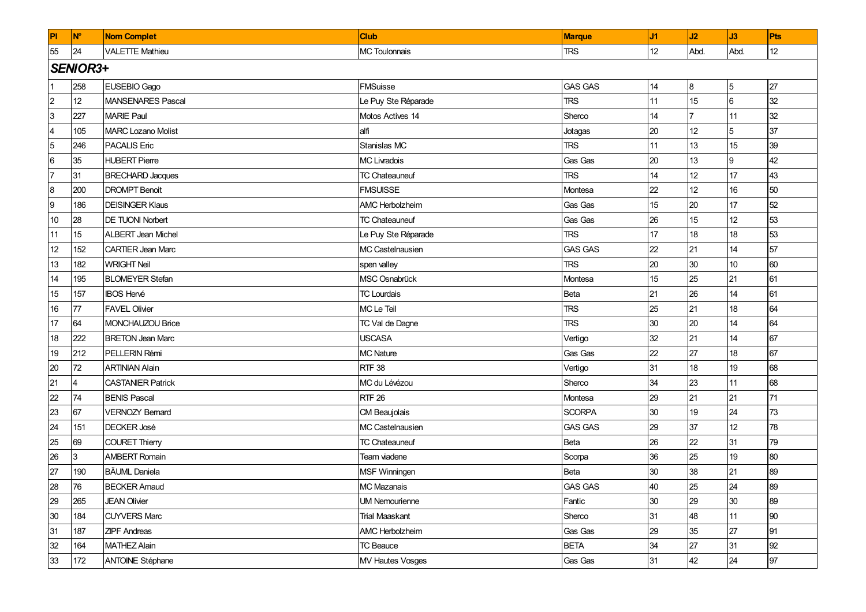| PI               | <b>N°</b> | <b>Nom Complet</b>        | <b>Club</b>           | <b>Marque</b>  | J1 | J2                | J3   | Pts |
|------------------|-----------|---------------------------|-----------------------|----------------|----|-------------------|------|-----|
| 55               | 24        | <b>VALETTE Mathieu</b>    | <b>MC Toulonnais</b>  | <b>TRS</b>     | 12 | Abd.              | Abd. | 12  |
|                  | SENIOR3+  |                           |                       |                |    |                   |      |     |
|                  | 258       | <b>EUSEBIO Gago</b>       | <b>FMSuisse</b>       | <b>GAS GAS</b> | 14 | 8                 | 5    | 27  |
| $\overline{2}$   | 12        | MANSENARES Pascal         | Le Puy Ste Réparade   | <b>TRS</b>     | 11 | 15                | 6    | 32  |
| $\mathbf{3}$     | 227       | <b>MARIE Paul</b>         | Motos Actives 14      | Sherco         | 14 |                   | 11   | 32  |
| $\overline{4}$   | 105       | <b>MARC Lozano Molist</b> | alfi                  | Jotagas        | 20 | 12 <sup>°</sup>   | 5    | 37  |
| $\overline{5}$   | 246       | <b>PACALIS Eric</b>       | Stanislas MC          | <b>TRS</b>     | 11 | 13                | 15   | 39  |
| $6\phantom{a}$   | 35        | <b>HUBERT Pierre</b>      | <b>MC Livradois</b>   | Gas Gas        | 20 | 13                | Ι9   | 42  |
| $\overline{7}$   | 31        | <b>BRECHARD Jacques</b>   | <b>TC Chateauneuf</b> | <b>TRS</b>     | 14 | 12                | 17   | 43  |
| $\boldsymbol{8}$ | 200       | <b>DROMPT Benoit</b>      | <b>FMSUISSE</b>       | Montesa        | 22 | $12 \overline{ }$ | 16   | 50  |
| 9                | 186       | <b>DEISINGER Klaus</b>    | AMC Herbolzheim       | Gas Gas        | 15 | 20                | 17   | 52  |
| 10               | 28        | <b>DE TUONI Norbert</b>   | <b>TC Chateauneuf</b> | Gas Gas        | 26 | 15                | 12   | 53  |
| 11               | 15        | <b>ALBERT Jean Michel</b> | Le Puy Ste Réparade   | <b>TRS</b>     | 17 | 18                | 18   | 53  |
| 12               | 152       | <b>CARTIER Jean Marc</b>  | MC Castelnausien      | <b>GAS GAS</b> | 22 | 21                | 14   | 57  |
| 13               | 182       | <b>WRIGHT Neil</b>        | spen valley           | <b>TRS</b>     | 20 | 30                | 10   | 60  |
| 14               | 195       | <b>BLOMEYER Stefan</b>    | MSC Osnabrück         | Montesa        | 15 | 25                | 21   | 61  |
| 15               | 157       | <b>IBOS Hervé</b>         | <b>TC Lourdais</b>    | Beta           | 21 | 26                | 14   | 61  |
| $16\,$           | 77        | <b>FAVEL Olivier</b>      | MC Le Teil            | <b>TRS</b>     | 25 | 21                | 18   | 64  |
| 17               | 64        | MONCHAUZOU Brice          | TC Val de Dagne       | <b>TRS</b>     | 30 | 20                | 14   | 64  |
| 18               | 222       | <b>BRETON Jean Marc</b>   | <b>USCASA</b>         | Vertigo        | 32 | 21                | 14   | 67  |
| 19               | 212       | PELLERIN Rémi             | <b>MC Nature</b>      | Gas Gas        | 22 | 27                | 18   | 67  |
| 20               | 72        | <b>ARTINIAN Alain</b>     | <b>RTF 38</b>         | Vertigo        | 31 | 18                | 19   | 68  |
| 21               |           | <b>CASTANIER Patrick</b>  | MC du Lévézou         | Sherco         | 34 | 23                | 11   | 68  |
| 22               | 74        | <b>BENIS Pascal</b>       | <b>RTF 26</b>         | Montesa        | 29 | 21                | 21   | 71  |
| 23               | 67        | <b>VERNOZY Bernard</b>    | CM Beaujolais         | <b>SCORPA</b>  | 30 | 19                | 24   | 73  |
| 24               | 151       | <b>DECKER José</b>        | MC Castelnausien      | <b>GAS GAS</b> | 29 | 37                | 12   | 78  |
| 25               | 69        | COURET Thierry            | <b>TC Chateauneuf</b> | Beta           | 26 | 22                | 31   | 79  |
| 26               | 3         | <b>AMBERT Romain</b>      | Team viadene          | Scorpa         | 36 | 25                | 19   | 80  |
| 27               | 190       | <b>BÄUML</b> Daniela      | MSF Winningen         | Beta           | 30 | 38                | 21   | 89  |
| 28               | 76        | <b>BECKER Amaud</b>       | MC Mazanais           | <b>GAS GAS</b> | 40 | 25                | 24   | 89  |
| 29               | 265       | <b>JEAN Olivier</b>       | <b>UM Nemourienne</b> | Fantic         | 30 | 29                | 30   | 89  |
| 30               | 184       | <b>CUYVERS Marc</b>       | <b>Trial Maaskant</b> | Sherco         | 31 | 48                | 11   | 90  |
| 31               | 187       | <b>ZIPF Andreas</b>       | AMC Herbolzheim       | Gas Gas        | 29 | 35                | 27   | 91  |
| 32               | 164       | <b>MATHEZ Alain</b>       | <b>TC Beauce</b>      | <b>BETA</b>    | 34 | 27                | 31   | 92  |
| 33               | 172       | <b>ANTOINE Stéphane</b>   | MV Hautes Vosges      | Gas Gas        | 31 | 42                | 24   | 97  |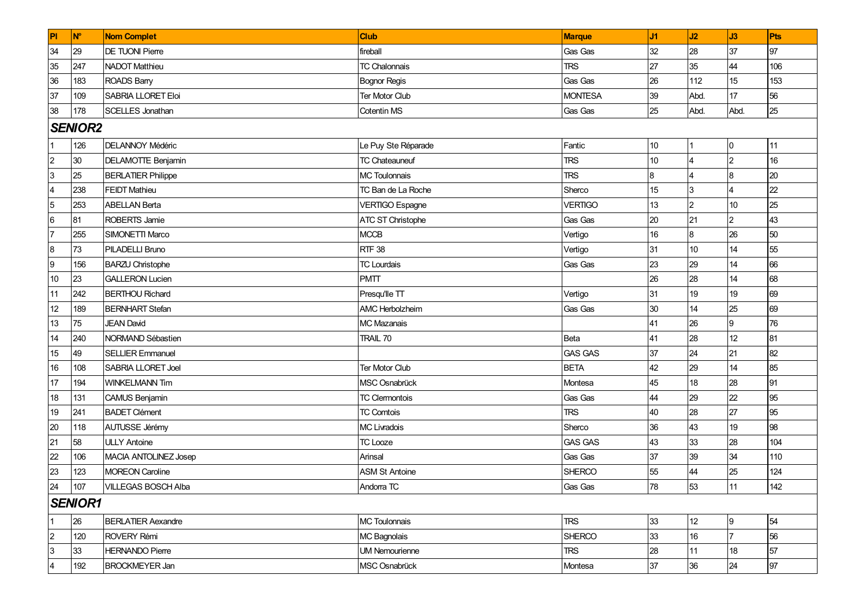| PI                      | <b>N°</b>       | <b>Nom Complet</b>        | <b>Club</b>            | <b>Marque</b>  | J1              | J2               | J3             | Pts |  |
|-------------------------|-----------------|---------------------------|------------------------|----------------|-----------------|------------------|----------------|-----|--|
| 34                      | 29              | DE TUONI Pierre           | fireball               | Gas Gas        | 32              | 28               | 37             | 97  |  |
| 35                      | 247             | <b>NADOT Matthieu</b>     | <b>TC Chalonnais</b>   | <b>TRS</b>     | 27              | 35               | 44             | 106 |  |
| 36                      | 183             | ROADS Barry               | <b>Bognor Regis</b>    | Gas Gas        | 26              | 112              | 15             | 153 |  |
| 37                      | 109             | SABRIA LLORET Eloi        | Ter Motor Club         | <b>MONTESA</b> | 39              | Abd.             | 17             | 56  |  |
| 38                      | 178             | <b>SCELLES Jonathan</b>   | Cotentin MS            | Gas Gas        | 25              | Abd.             | Abd.           | 25  |  |
|                         | <b>SENIOR2</b>  |                           |                        |                |                 |                  |                |     |  |
|                         | 126             | <b>DELANNOY Médéric</b>   | Le Puy Ste Réparade    | Fantic         | 10              | $\vert$ 1        | 0              | 11  |  |
| $\overline{2}$          | 30 <sup>°</sup> | <b>DELAMOTTE Benjamin</b> | <b>TC Chateauneuf</b>  | <b>TRS</b>     | 10 <sup>1</sup> | 4                | 2              | 16  |  |
| $\mathbf{3}$            | 25              | <b>BERLATIER Philippe</b> | <b>MC Toulonnais</b>   | <b>TRS</b>     | 8               | $\overline{4}$   | 8              | 20  |  |
| $\overline{\mathbf{4}}$ | 238             | <b>FEIDT Mathieu</b>      | TC Ban de La Roche     | Sherco         | 15              | $\overline{3}$   |                | 22  |  |
| $\overline{5}$          | 253             | <b>ABELLAN Berta</b>      | <b>VERTIGO Espagne</b> | <b>VERTIGO</b> | 13              | $\overline{2}$   | 10             | 25  |  |
| $\,6$                   | 81              | ROBERTS Jamie             | ATC ST Christophe      | Gas Gas        | 20              | 21               | $\overline{2}$ | 43  |  |
| $\overline{7}$          | 255             | SIMONETTI Marco           | MCCB                   | Vertigo        | 16              | 8                | 26             | 50  |  |
| $\bf 8$                 | 73              | PILADELLI Bruno           | <b>RTF 38</b>          | Vertigo        | 31              | 10 <sup>10</sup> | 14             | 55  |  |
| 9                       | 156             | <b>BARZU Christophe</b>   | <b>TC Lourdais</b>     | Gas Gas        | 23              | 29               | 14             | 66  |  |
| 10                      | 23              | <b>GALLERON Lucien</b>    | <b>PMTT</b>            |                | 26              | 28               | 14             | 68  |  |
| 11                      | 242             | <b>BERTHOU Richard</b>    | Presqu'lle TT          | Vertigo        | 31              | 19               | 19             | 69  |  |
| 12                      | 189             | <b>BERNHART Stefan</b>    | <b>AMC Herbolzheim</b> | Gas Gas        | 30              | 14               | 25             | 69  |  |
| 13                      | 75              | <b>JEAN David</b>         | <b>MC Mazanais</b>     |                | 41              | 26               | 9              | 76  |  |
| 14                      | 240             | NORMAND Sébastien         | TRAIL 70               | Beta           | 41              | 28               | 12             | 81  |  |
| 15                      | 49              | <b>SELLIER Emmanuel</b>   |                        | <b>GAS GAS</b> | 37              | 24               | 21             | 82  |  |
| $16\,$                  | 108             | SABRIA LLORET Joel        | Ter Motor Club         | <b>BETA</b>    | 42              | 29               | 14             | 85  |  |
| 17                      | 194             | <b>WINKELMANN Tim</b>     | MSC Osnabrück          | Montesa        | 45              | 18               | 28             | 91  |  |
| 18                      | 131             | CAMUS Benjamin            | <b>TC Clermontois</b>  | Gas Gas        | 44              | 29               | 22             | 95  |  |
| 19                      | 241             | <b>BADET Clément</b>      | <b>TC Comtois</b>      | <b>TRS</b>     | 40              | 28               | 27             | 95  |  |
| 20                      | 118             | AUTUSSE Jérémy            | <b>MC Livradois</b>    | Sherco         | 36              | 43               | 19             | 98  |  |
| 21                      | 58              | <b>ULLY Antoine</b>       | <b>TC Looze</b>        | <b>GAS GAS</b> | 43              | 33               | 28             | 104 |  |
| 22                      | 106             | MACIA ANTOLINEZ Josep     | Arinsal                | Gas Gas        | 37              | 39               | 34             | 110 |  |
| 23                      | 123             | <b>MOREON Caroline</b>    | <b>ASM St Antoine</b>  | <b>SHERCO</b>  | 55              | 44               | 25             | 124 |  |
| 24                      | 107             | VILLEGAS BOSCH Alba       | Andorra TC             | Gas Gas        | 78              | 53               | 11             | 142 |  |
|                         | <b>SENIOR1</b>  |                           |                        |                |                 |                  |                |     |  |
| 1                       | 26              | <b>BERLATIER Aexandre</b> | MC Toulonnais          | <b>TRS</b>     | 33              | 12               | Ι9             | 54  |  |
| $\overline{c}$          | 120             | ROVERY Rémi               | MC Bagnolais           | <b>SHERCO</b>  | 33              | 16               | $\overline{7}$ | 56  |  |
| 3                       | 33              | <b>HERNANDO Pierre</b>    | <b>UM Nemourienne</b>  | <b>TRS</b>     | 28              | 11               | 18             | 57  |  |
| 4                       | 192             | <b>BROCKMEYER Jan</b>     | MSC Osnabrück          | Montesa        | 37              | 36               | 24             | 97  |  |